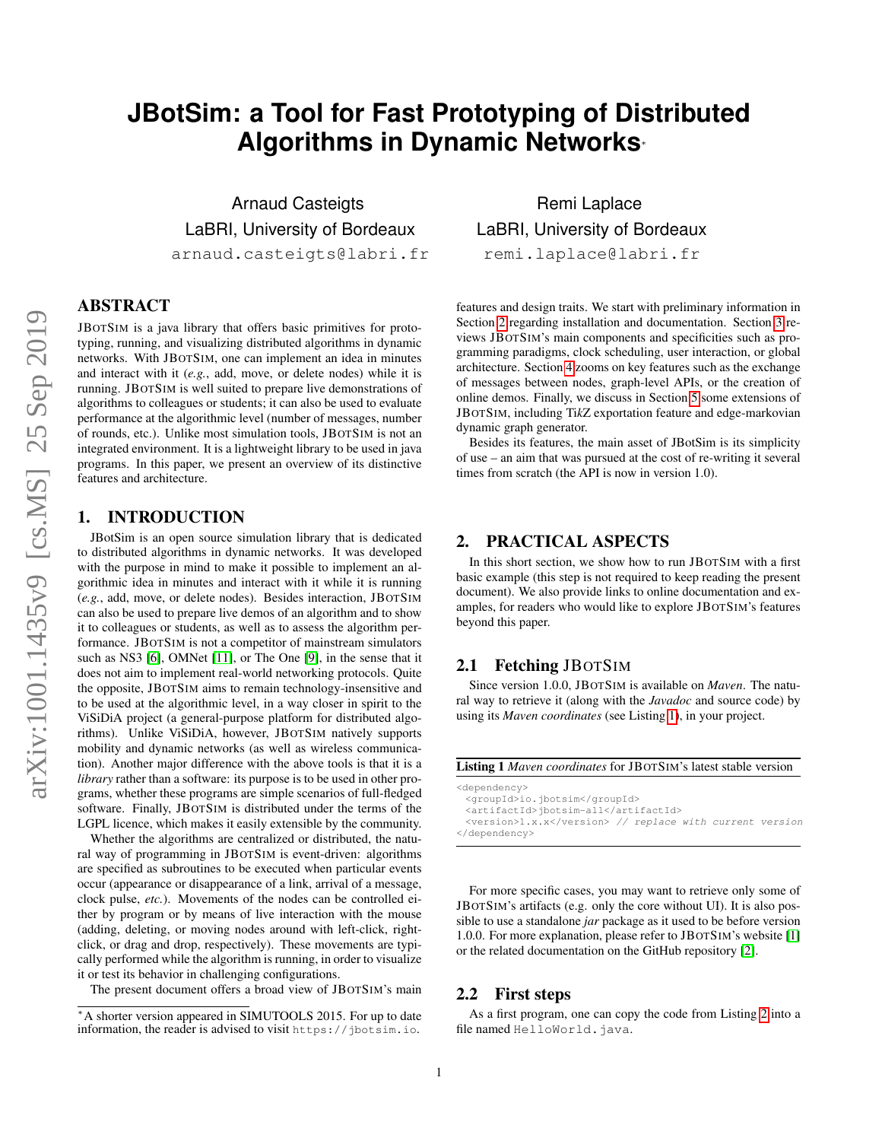# **JBotSim: a Tool for Fast Prototyping of Distributed Algorithms in Dynamic Networks**<sup>∗</sup>

Arnaud Casteigts LaBRI, University of Bordeaux arnaud.casteigts@labri.fr

# ABSTRACT

JBOTSIM is a java library that offers basic primitives for prototyping, running, and visualizing distributed algorithms in dynamic networks. With JBOTSIM, one can implement an idea in minutes and interact with it (*e.g.*, add, move, or delete nodes) while it is running. JBOTSIM is well suited to prepare live demonstrations of algorithms to colleagues or students; it can also be used to evaluate performance at the algorithmic level (number of messages, number of rounds, etc.). Unlike most simulation tools, JBOTSIM is not an integrated environment. It is a lightweight library to be used in java programs. In this paper, we present an overview of its distinctive features and architecture.

## 1. INTRODUCTION

JBotSim is an open source simulation library that is dedicated to distributed algorithms in dynamic networks. It was developed with the purpose in mind to make it possible to implement an algorithmic idea in minutes and interact with it while it is running (*e.g.*, add, move, or delete nodes). Besides interaction, JBOTSIM can also be used to prepare live demos of an algorithm and to show it to colleagues or students, as well as to assess the algorithm performance. JBOTSIM is not a competitor of mainstream simulators such as NS3 [\[6\]](#page-5-0), OMNet [\[11\]](#page-5-1), or The One [\[9\]](#page-5-2), in the sense that it does not aim to implement real-world networking protocols. Quite the opposite, JBOTSIM aims to remain technology-insensitive and to be used at the algorithmic level, in a way closer in spirit to the ViSiDiA project (a general-purpose platform for distributed algorithms). Unlike ViSiDiA, however, JBOTSIM natively supports mobility and dynamic networks (as well as wireless communication). Another major difference with the above tools is that it is a *library* rather than a software: its purpose is to be used in other programs, whether these programs are simple scenarios of full-fledged software. Finally, JBOTSIM is distributed under the terms of the LGPL licence, which makes it easily extensible by the community.

Whether the algorithms are centralized or distributed, the natural way of programming in JBOTSIM is event-driven: algorithms are specified as subroutines to be executed when particular events occur (appearance or disappearance of a link, arrival of a message, clock pulse, *etc.*). Movements of the nodes can be controlled either by program or by means of live interaction with the mouse (adding, deleting, or moving nodes around with left-click, rightclick, or drag and drop, respectively). These movements are typically performed while the algorithm is running, in order to visualize it or test its behavior in challenging configurations.

The present document offers a broad view of JBOTSIM's main

Remi Laplace LaBRI, University of Bordeaux remi.laplace@labri.fr

features and design traits. We start with preliminary information in Section [2](#page-0-0) regarding installation and documentation. Section [3](#page-1-0) reviews JBOTSIM's main components and specificities such as programming paradigms, clock scheduling, user interaction, or global architecture. Section [4](#page-4-0) zooms on key features such as the exchange of messages between nodes, graph-level APIs, or the creation of online demos. Finally, we discuss in Section [5](#page-5-3) some extensions of JBOTSIM, including Ti*k*Z exportation feature and edge-markovian dynamic graph generator.

Besides its features, the main asset of JBotSim is its simplicity of use – an aim that was pursued at the cost of re-writing it several times from scratch (the API is now in version 1.0).

## <span id="page-0-0"></span>2. PRACTICAL ASPECTS

In this short section, we show how to run JBOTSIM with a first basic example (this step is not required to keep reading the present document). We also provide links to online documentation and examples, for readers who would like to explore JBOTSIM's features beyond this paper.

# 2.1 Fetching JBOTSIM

Since version 1.0.0, JBOTSIM is available on *Maven*. The natural way to retrieve it (along with the *Javadoc* and source code) by using its *Maven coordinates* (see Listing [1\)](#page-0-1), in your project.

<span id="page-0-1"></span>

| <b>Listing 1</b> Maven coordinates for JBOTSIM's latest stable version |
|------------------------------------------------------------------------|
| <dependency></dependency>                                              |
| <groupid>io.jbotsim</groupid>                                          |
| <artifactid>jbotsim-all</artifactid>                                   |
| <version>1.x.x</version> // replace with current version               |
|                                                                        |

For more specific cases, you may want to retrieve only some of JBOTSIM's artifacts (e.g. only the core without UI). It is also possible to use a standalone *jar* package as it used to be before version 1.0.0. For more explanation, please refer to JBOTSIM's website [\[1\]](#page-5-4) or the related documentation on the GitHub repository [\[2\]](#page-5-5).

## 2.2 First steps

As a first program, one can copy the code from Listing [2](#page-1-1) into a file named HelloWorld.java.

<sup>∗</sup>A shorter version appeared in SIMUTOOLS 2015. For up to date information, the reader is advised to visit https://jbotsim.io.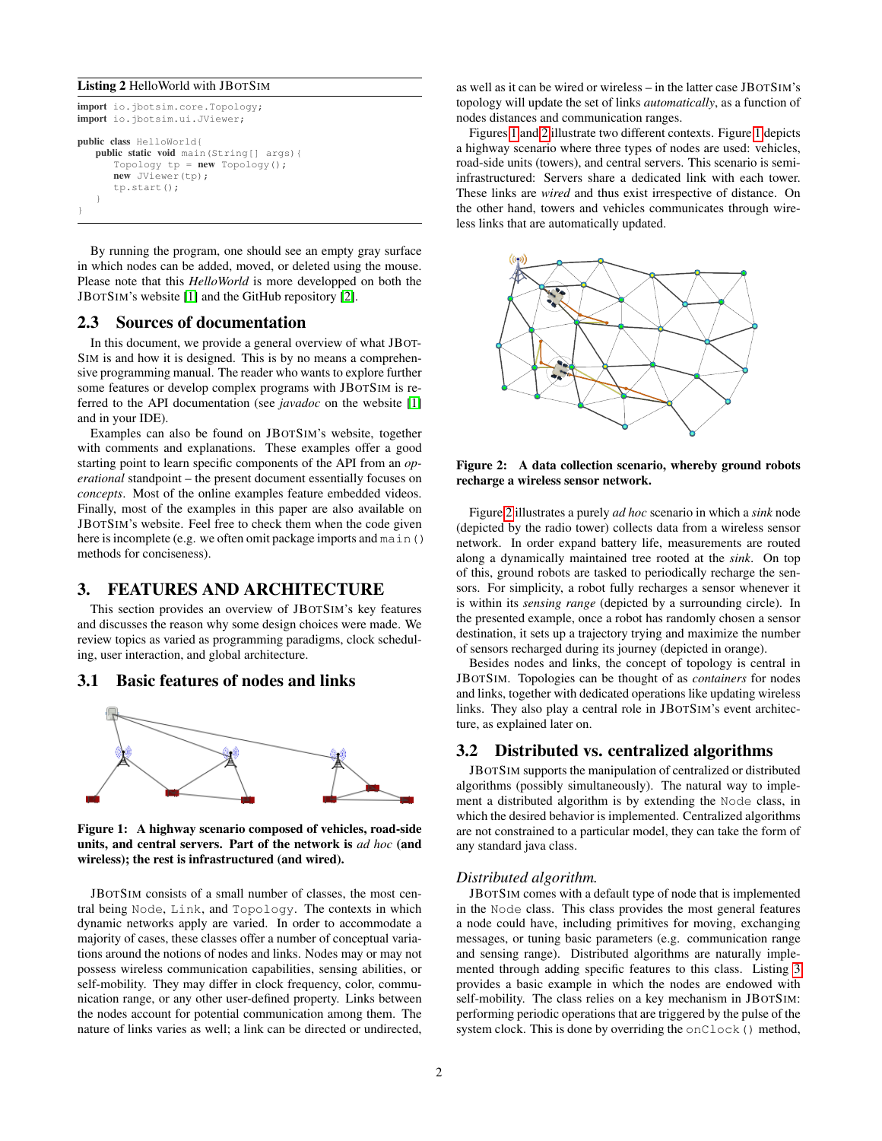#### <span id="page-1-1"></span>Listing 2 HelloWorld with JBOTSIM

```
import io.jbotsim.core.Topology;
import io.jbotsim.ui.JViewer;
public class HelloWorld{
   public static void main(String[] args){
      Topology tp = new Topology();
      new JViewer(tp);
      tp.start();
   }
}
```
By running the program, one should see an empty gray surface in which nodes can be added, moved, or deleted using the mouse. Please note that this *HelloWorld* is more developped on both the JBOTSIM's website [\[1\]](#page-5-4) and the GitHub repository [\[2\]](#page-5-5).

## 2.3 Sources of documentation

In this document, we provide a general overview of what JBOT-SIM is and how it is designed. This is by no means a comprehensive programming manual. The reader who wants to explore further some features or develop complex programs with JBOTSIM is referred to the API documentation (see *javadoc* on the website [\[1\]](#page-5-4) and in your IDE).

Examples can also be found on JBOTSIM's website, together with comments and explanations. These examples offer a good starting point to learn specific components of the API from an *operational* standpoint – the present document essentially focuses on *concepts*. Most of the online examples feature embedded videos. Finally, most of the examples in this paper are also available on JBOTSIM's website. Feel free to check them when the code given here is incomplete (e.g. we often omit package imports and main() methods for conciseness).

## <span id="page-1-0"></span>3. FEATURES AND ARCHITECTURE

This section provides an overview of JBOTSIM's key features and discusses the reason why some design choices were made. We review topics as varied as programming paradigms, clock scheduling, user interaction, and global architecture.

#### 3.1 Basic features of nodes and links



<span id="page-1-2"></span>Figure 1: A highway scenario composed of vehicles, road-side units, and central servers. Part of the network is *ad hoc* (and wireless); the rest is infrastructured (and wired).

JBOTSIM consists of a small number of classes, the most central being Node, Link, and Topology. The contexts in which dynamic networks apply are varied. In order to accommodate a majority of cases, these classes offer a number of conceptual variations around the notions of nodes and links. Nodes may or may not possess wireless communication capabilities, sensing abilities, or self-mobility. They may differ in clock frequency, color, communication range, or any other user-defined property. Links between the nodes account for potential communication among them. The nature of links varies as well; a link can be directed or undirected,

as well as it can be wired or wireless – in the latter case JBOTSIM's topology will update the set of links *automatically*, as a function of nodes distances and communication ranges.

Figures [1](#page-1-2) and [2](#page-1-3) illustrate two different contexts. Figure [1](#page-1-2) depicts a highway scenario where three types of nodes are used: vehicles, road-side units (towers), and central servers. This scenario is semiinfrastructured: Servers share a dedicated link with each tower. These links are *wired* and thus exist irrespective of distance. On the other hand, towers and vehicles communicates through wireless links that are automatically updated.



<span id="page-1-3"></span>Figure 2: A data collection scenario, whereby ground robots recharge a wireless sensor network.

Figure [2](#page-1-3) illustrates a purely *ad hoc* scenario in which a *sink* node (depicted by the radio tower) collects data from a wireless sensor network. In order expand battery life, measurements are routed along a dynamically maintained tree rooted at the *sink*. On top of this, ground robots are tasked to periodically recharge the sensors. For simplicity, a robot fully recharges a sensor whenever it is within its *sensing range* (depicted by a surrounding circle). In the presented example, once a robot has randomly chosen a sensor destination, it sets up a trajectory trying and maximize the number of sensors recharged during its journey (depicted in orange).

Besides nodes and links, the concept of topology is central in JBOTSIM. Topologies can be thought of as *containers* for nodes and links, together with dedicated operations like updating wireless links. They also play a central role in JBOTSIM's event architecture, as explained later on.

## 3.2 Distributed vs. centralized algorithms

JBOTSIM supports the manipulation of centralized or distributed algorithms (possibly simultaneously). The natural way to implement a distributed algorithm is by extending the Node class, in which the desired behavior is implemented. Centralized algorithms are not constrained to a particular model, they can take the form of any standard java class.

#### *Distributed algorithm.*

JBOTSIM comes with a default type of node that is implemented in the Node class. This class provides the most general features a node could have, including primitives for moving, exchanging messages, or tuning basic parameters (e.g. communication range and sensing range). Distributed algorithms are naturally implemented through adding specific features to this class. Listing [3](#page-2-0) provides a basic example in which the nodes are endowed with self-mobility. The class relies on a key mechanism in JBOTSIM: performing periodic operations that are triggered by the pulse of the system clock. This is done by overriding the onClock () method,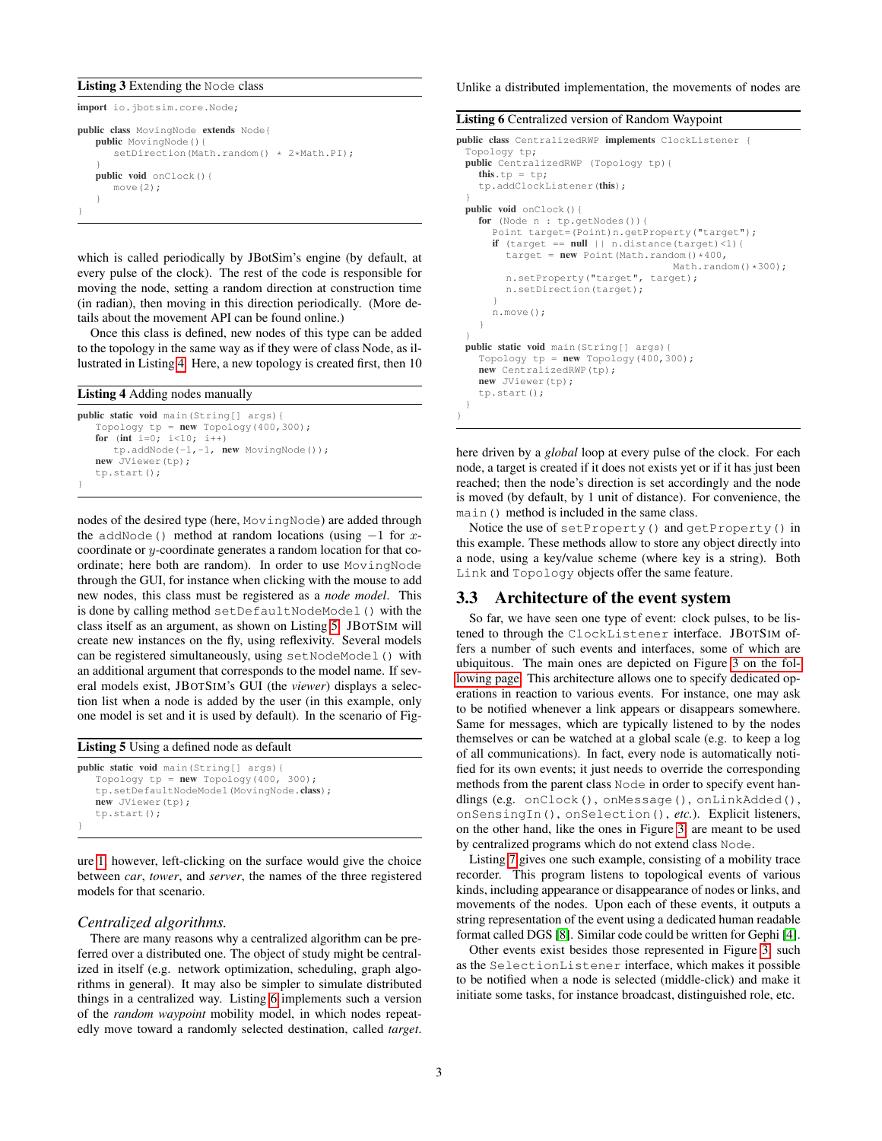#### <span id="page-2-0"></span>Listing 3 Extending the Node class

import io.jbotsim.core.Node; public class MovingNode extends Node{ public MovingNode(){

```
setDirection(Math.random() * 2*Math.PI);
   }
  public void onClock(){
      move (2);
   }
}
```
which is called periodically by JBotSim's engine (by default, at every pulse of the clock). The rest of the code is responsible for moving the node, setting a random direction at construction time (in radian), then moving in this direction periodically. (More details about the movement API can be found online.)

Once this class is defined, new nodes of this type can be added to the topology in the same way as if they were of class Node, as illustrated in Listing [4.](#page-2-1) Here, a new topology is created first, then 10

## <span id="page-2-1"></span>Listing 4 Adding nodes manually

```
public static void main(String[] args){
   Topology tp = new Topology(400, 300);for (int i=0; i<10; i++)tp.addNode(-1,-1, new MovingNode());
   new JViewer(tp);
   tp.start();
}
```
nodes of the desired type (here, MovingNode) are added through the addNode() method at random locations (using  $-1$  for xcoordinate or y-coordinate generates a random location for that coordinate; here both are random). In order to use MovingNode through the GUI, for instance when clicking with the mouse to add new nodes, this class must be registered as a *node model*. This is done by calling method setDefaultNodeModel() with the class itself as an argument, as shown on Listing [5.](#page-2-2) JBOTSIM will create new instances on the fly, using reflexivity. Several models can be registered simultaneously, using setNodeModel() with an additional argument that corresponds to the model name. If several models exist, JBOTSIM's GUI (the *viewer*) displays a selection list when a node is added by the user (in this example, only one model is set and it is used by default). In the scenario of Fig-

<span id="page-2-2"></span>

| <b>Listing 5</b> Using a defined node as default |  |
|--------------------------------------------------|--|
| <b>public static void</b> main (String[] args) { |  |
| Topology $tp = new Topology(400, 300);$          |  |
| tp.setDefaultNodeModel(MovingNode.class);        |  |

new JViewer(tp); tp.start(); } ure [1,](#page-1-2) however, left-clicking on the surface would give the choice

between *car*, *tower*, and *server*, the names of the three registered models for that scenario.

#### *Centralized algorithms.*

There are many reasons why a centralized algorithm can be preferred over a distributed one. The object of study might be centralized in itself (e.g. network optimization, scheduling, graph algorithms in general). It may also be simpler to simulate distributed things in a centralized way. Listing [6](#page-2-3) implements such a version of the *random waypoint* mobility model, in which nodes repeatedly move toward a randomly selected destination, called *target*. Unlike a distributed implementation, the movements of nodes are

<span id="page-2-3"></span>

| <b>Listing 6</b> Centralized version of Random Waypoint                                                                                                                                                                                                                            |
|------------------------------------------------------------------------------------------------------------------------------------------------------------------------------------------------------------------------------------------------------------------------------------|
| public class CentralizedRWP implements ClockListener {<br>Topology tp;                                                                                                                                                                                                             |
| <b>public</b> CentralizedRWP (Topology tp) {<br>this.tp = tp;                                                                                                                                                                                                                      |
| tp.addClockListener(this);                                                                                                                                                                                                                                                         |
| <b>public</b> void $\text{onClock}()$                                                                                                                                                                                                                                              |
| for (Node $n : tp.getNodes()$ ) {<br>Point target=(Point)n.getProperty("target");<br>if (target == $null$    n.distance(target)<1){<br>target = $new$ Point (Math.random() $*400$ ,<br>Math.random( $)$ *300);<br>n.setProperty("target", target);<br>n.setDirection(target);<br>ł |
| $n$ . move $()$ ;                                                                                                                                                                                                                                                                  |
| ł<br>ł                                                                                                                                                                                                                                                                             |
| public static void main (String[] args) {<br>Topology $tp = new Topology (400, 300);$<br>new CentralizedRWP(tp);<br>new JViewer(tp);<br>$tp.start()$ ;                                                                                                                             |

here driven by a *global* loop at every pulse of the clock. For each node, a target is created if it does not exists yet or if it has just been reached; then the node's direction is set accordingly and the node is moved (by default, by 1 unit of distance). For convenience, the main() method is included in the same class.

Notice the use of setProperty() and getProperty() in this example. These methods allow to store any object directly into a node, using a key/value scheme (where key is a string). Both Link and Topology objects offer the same feature.

#### 3.3 Architecture of the event system

So far, we have seen one type of event: clock pulses, to be listened to through the ClockListener interface. JBOTSIM offers a number of such events and interfaces, some of which are ubiquitous. The main ones are depicted on Figure [3 on the fol](#page-3-0)[lowing page.](#page-3-0) This architecture allows one to specify dedicated operations in reaction to various events. For instance, one may ask to be notified whenever a link appears or disappears somewhere. Same for messages, which are typically listened to by the nodes themselves or can be watched at a global scale (e.g. to keep a log of all communications). In fact, every node is automatically notified for its own events; it just needs to override the corresponding methods from the parent class Node in order to specify event handlings (e.g. onClock(), onMessage(), onLinkAdded(), onSensingIn(), onSelection(), *etc.*). Explicit listeners, on the other hand, like the ones in Figure [3,](#page-3-0) are meant to be used by centralized programs which do not extend class Node.

Listing [7](#page-3-1) gives one such example, consisting of a mobility trace recorder. This program listens to topological events of various kinds, including appearance or disappearance of nodes or links, and movements of the nodes. Upon each of these events, it outputs a string representation of the event using a dedicated human readable format called DGS [\[8\]](#page-5-6). Similar code could be written for Gephi [\[4\]](#page-5-7).

Other events exist besides those represented in Figure [3,](#page-3-0) such as the SelectionListener interface, which makes it possible to be notified when a node is selected (middle-click) and make it initiate some tasks, for instance broadcast, distinguished role, etc.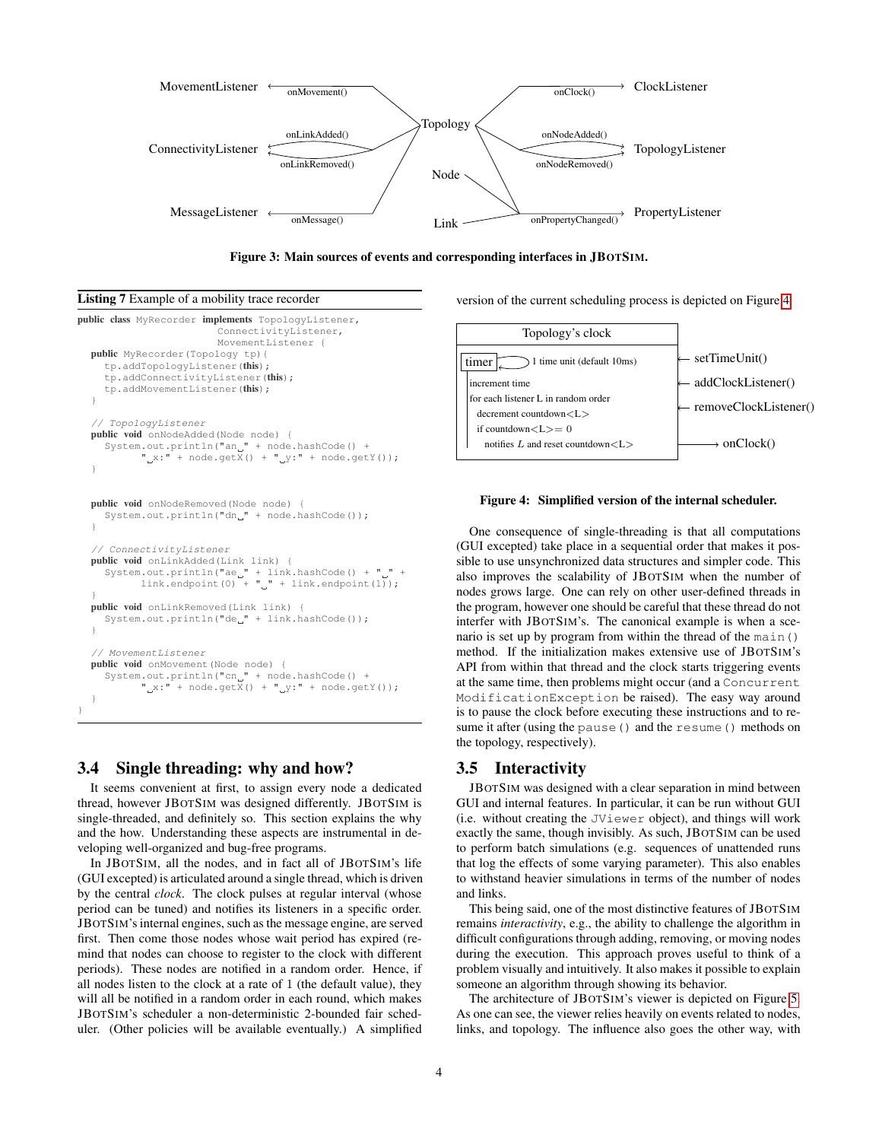

<span id="page-3-0"></span>

<span id="page-3-1"></span>

```
public class MyRecorder implements TopologyListener,
                            ConnectivityListener,
                            MovementListener {
  public MyRecorder(Topology tp){
     tp.addTopologyListener(this);
     tp.addConnectivityListener(this);
     tp.addMovementListener(this);
   }
     // TopologyListener
  public void onNodeAdded(Node node) {
     System.out.println("an<sub>"</sub>" + node.hashCode() +<br>"x:" + node.qetX() + " v:" + node.get
                   + node.getX() + "<sub>-y</sub>:" + node.getY());
   }
  public void onNodeRemoved(Node node) {
     System.out.println("dn_" + node.hashCode());
   }
   // ConnectivityListener
  public void onLinkAdded(Link link) {
     System.out.println("ae<sub>"</sub>" + link.hashCode() + "<sub>"</sub>" + link.endpoint(1));
   }
  public void onLinkRemoved(Link link) {
     System.out.println("de_" + link.hashCode());
   }
   // MovementListener
  public void onMovement(Node node) {
     System.out.println("cn_" + node.hashCode() +
            " _{\alpha} x : " + node.getX() + " _{y} : " + node.getY());
   }
}
```
## 3.4 Single threading: why and how?

It seems convenient at first, to assign every node a dedicated thread, however JBOTSIM was designed differently. JBOTSIM is single-threaded, and definitely so. This section explains the why and the how. Understanding these aspects are instrumental in developing well-organized and bug-free programs.

In JBOTSIM, all the nodes, and in fact all of JBOTSIM's life (GUI excepted) is articulated around a single thread, which is driven by the central *clock*. The clock pulses at regular interval (whose period can be tuned) and notifies its listeners in a specific order. JBOTSIM's internal engines, such as the message engine, are served first. Then come those nodes whose wait period has expired (remind that nodes can choose to register to the clock with different periods). These nodes are notified in a random order. Hence, if all nodes listen to the clock at a rate of 1 (the default value), they will all be notified in a random order in each round, which makes JBOTSIM's scheduler a non-deterministic 2-bounded fair scheduler. (Other policies will be available eventually.) A simplified version of the current scheduling process is depicted on Figure [4.](#page-3-2)



#### <span id="page-3-2"></span>Figure 4: Simplified version of the internal scheduler.

One consequence of single-threading is that all computations (GUI excepted) take place in a sequential order that makes it possible to use unsynchronized data structures and simpler code. This also improves the scalability of JBOTSIM when the number of nodes grows large. One can rely on other user-defined threads in the program, however one should be careful that these thread do not interfer with JBOTSIM's. The canonical example is when a scenario is set up by program from within the thread of the main() method. If the initialization makes extensive use of JBOTSIM's API from within that thread and the clock starts triggering events at the same time, then problems might occur (and a Concurrent ModificationException be raised). The easy way around is to pause the clock before executing these instructions and to resume it after (using the pause() and the resume() methods on the topology, respectively).

## 3.5 Interactivity

JBOTSIM was designed with a clear separation in mind between GUI and internal features. In particular, it can be run without GUI (i.e. without creating the JViewer object), and things will work exactly the same, though invisibly. As such, JBOTSIM can be used to perform batch simulations (e.g. sequences of unattended runs that log the effects of some varying parameter). This also enables to withstand heavier simulations in terms of the number of nodes and links.

This being said, one of the most distinctive features of JBOTSIM remains *interactivity*, e.g., the ability to challenge the algorithm in difficult configurations through adding, removing, or moving nodes during the execution. This approach proves useful to think of a problem visually and intuitively. It also makes it possible to explain someone an algorithm through showing its behavior.

The architecture of JBOTSIM's viewer is depicted on Figure [5.](#page-4-1) As one can see, the viewer relies heavily on events related to nodes, links, and topology. The influence also goes the other way, with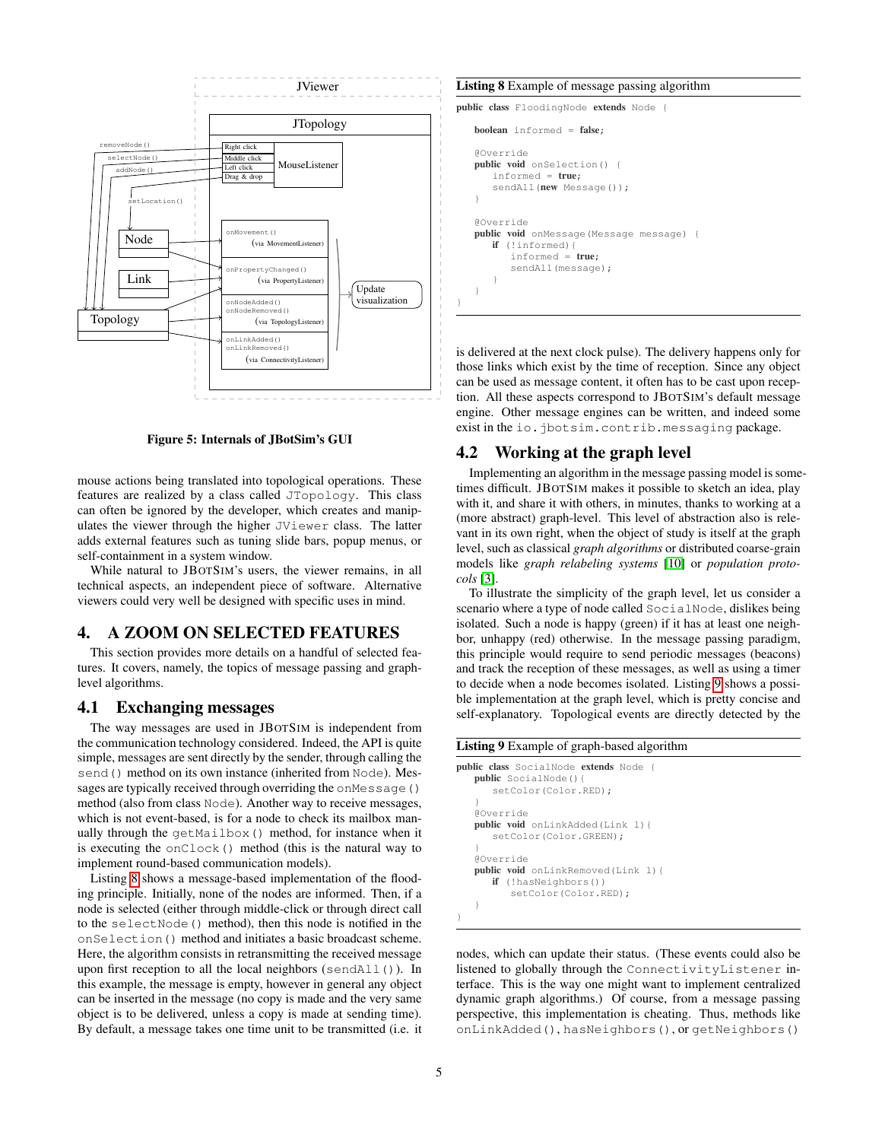

<span id="page-4-1"></span>Figure 5: Internals of JBotSim's GUI

mouse actions being translated into topological operations. These features are realized by a class called JTopology. This class can often be ignored by the developer, which creates and manipulates the viewer through the higher JViewer class. The latter adds external features such as tuning slide bars, popup menus, or self-containment in a system window.

While natural to JBOTSIM's users, the viewer remains, in all technical aspects, an independent piece of software. Alternative viewers could very well be designed with specific uses in mind.

# <span id="page-4-0"></span>4. A ZOOM ON SELECTED FEATURES

This section provides more details on a handful of selected features. It covers, namely, the topics of message passing and graphlevel algorithms.

### 4.1 Exchanging messages

The way messages are used in JBOTSIM is independent from the communication technology considered. Indeed, the API is quite simple, messages are sent directly by the sender, through calling the send() method on its own instance (inherited from Node). Messages are typically received through overriding the onMessage() method (also from class Node). Another way to receive messages, which is not event-based, is for a node to check its mailbox manually through the getMailbox() method, for instance when it is executing the onClock() method (this is the natural way to implement round-based communication models).

Listing [8](#page-4-2) shows a message-based implementation of the flooding principle. Initially, none of the nodes are informed. Then, if a node is selected (either through middle-click or through direct call to the selectNode() method), then this node is notified in the onSelection() method and initiates a basic broadcast scheme. Here, the algorithm consists in retransmitting the received message upon first reception to all the local neighbors (sendAll()). In this example, the message is empty, however in general any object can be inserted in the message (no copy is made and the very same object is to be delivered, unless a copy is made at sending time). By default, a message takes one time unit to be transmitted (i.e. it

#### <span id="page-4-2"></span>Listing 8 Example of message passing algorithm

public class FloodingNode extends Node {

boolean informed = false;

}

```
@Override
public void onSelection() {
   informed = true;
   sendAll(new Message());
}
@Override
public void onMessage(Message message) {
   if (!informed){
      informed = true;
      sendAll(message);
   }
}
```
is delivered at the next clock pulse). The delivery happens only for those links which exist by the time of reception. Since any object can be used as message content, it often has to be cast upon reception. All these aspects correspond to JBOTSIM's default message engine. Other message engines can be written, and indeed some exist in the io.jbotsim.contrib.messaging package.

## 4.2 Working at the graph level

Implementing an algorithm in the message passing model is sometimes difficult. JBOTSIM makes it possible to sketch an idea, play with it, and share it with others, in minutes, thanks to working at a (more abstract) graph-level. This level of abstraction also is relevant in its own right, when the object of study is itself at the graph level, such as classical *graph algorithms* or distributed coarse-grain models like *graph relabeling systems* [\[10\]](#page-5-8) or *population protocols* [\[3\]](#page-5-9).

To illustrate the simplicity of the graph level, let us consider a scenario where a type of node called SocialNode, dislikes being isolated. Such a node is happy (green) if it has at least one neighbor, unhappy (red) otherwise. In the message passing paradigm, this principle would require to send periodic messages (beacons) and track the reception of these messages, as well as using a timer to decide when a node becomes isolated. Listing [9](#page-4-3) shows a possible implementation at the graph level, which is pretty concise and self-explanatory. Topological events are directly detected by the

#### <span id="page-4-3"></span>Listing 9 Example of graph-based algorithm

```
public class SocialNode extends Node {
   public SocialNode(){
      setColor(Color.RED);
   }
   @Override
   public void onLinkAdded(Link l){
      setColor(Color.GREEN);
   }
   @Override
   public void onLinkRemoved(Link l){
      if (!hasNeighbors())
         setColor(Color.RED);
   }
}
```
nodes, which can update their status. (These events could also be listened to globally through the ConnectivityListener interface. This is the way one might want to implement centralized dynamic graph algorithms.) Of course, from a message passing perspective, this implementation is cheating. Thus, methods like onLinkAdded(), hasNeighbors(), or getNeighbors()